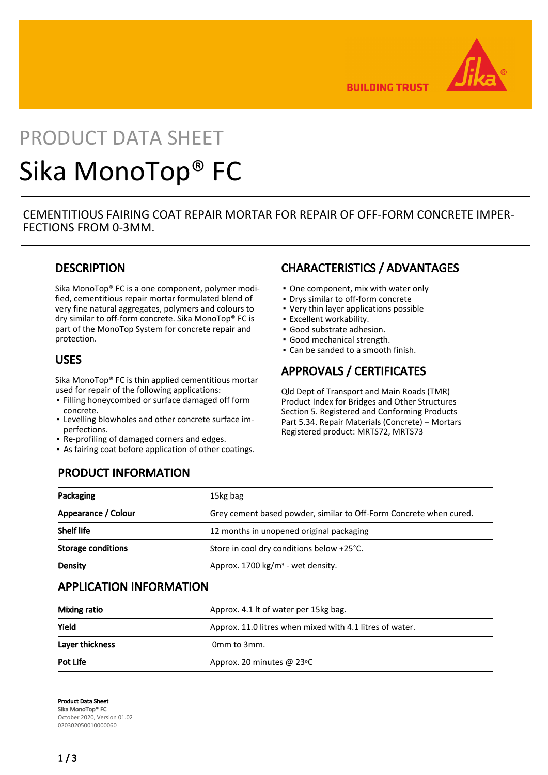

**BUILDING TRUST** 

# PRODUCT DATA SHEET Sika MonoTop® FC

CEMENTITIOUS FAIRING COAT REPAIR MORTAR FOR REPAIR OF OFF-FORM CONCRETE IMPER-FECTIONS FROM 0-3MM.

## **DESCRIPTION**

Sika MonoTop® FC is a one component, polymer modified, cementitious repair mortar formulated blend of very fine natural aggregates, polymers and colours to dry similar to off-form concrete. Sika MonoTop® FC is part of the MonoTop System for concrete repair and protection.

### USES

Sika MonoTop® FC is thin applied cementitious mortar used for repair of the following applications:

- **.** Filling honeycombed or surface damaged off form concrete.
- Levelling blowholes and other concrete surface im-▪ perfections.
- Re-profiling of damaged corners and edges.
- As fairing coat before application of other coatings.

## CHARACTERISTICS / ADVANTAGES

- One component, mix with water only
- Drys similar to off-form concrete
- Very thin layer applications possible
- Excellent workability.
- Good substrate adhesion.
- Good mechanical strength.
- Can be sanded to a smooth finish.

## APPROVALS / CERTIFICATES

Qld Dept of Transport and Main Roads (TMR) Product Index for Bridges and Other Structures Section 5. Registered and Conforming Products Part 5.34. Repair Materials (Concrete) – Mortars Registered product: MRTS72, MRTS73

# PRODUCT INFORMATION

| Packaging                 | 15kg bag                                                           |
|---------------------------|--------------------------------------------------------------------|
| Appearance / Colour       | Grey cement based powder, similar to Off-Form Concrete when cured. |
| <b>Shelf life</b>         | 12 months in unopened original packaging                           |
| <b>Storage conditions</b> | Store in cool dry conditions below +25°C.                          |
| Density                   | Approx. 1700 $kg/m3$ - wet density.                                |

## APPLICATION INFORMATION

| <b>Mixing ratio</b> | Approx. 4.1 It of water per 15kg bag.                    |  |
|---------------------|----------------------------------------------------------|--|
| Yield               | Approx. 11.0 litres when mixed with 4.1 litres of water. |  |
| Layer thickness     | Omm to 3mm.                                              |  |
| Pot Life            | Approx. 20 minutes @ 23°C                                |  |

Product Data Sheet Sika MonoTop® FC October 2020, Version 01.02 020302050010000060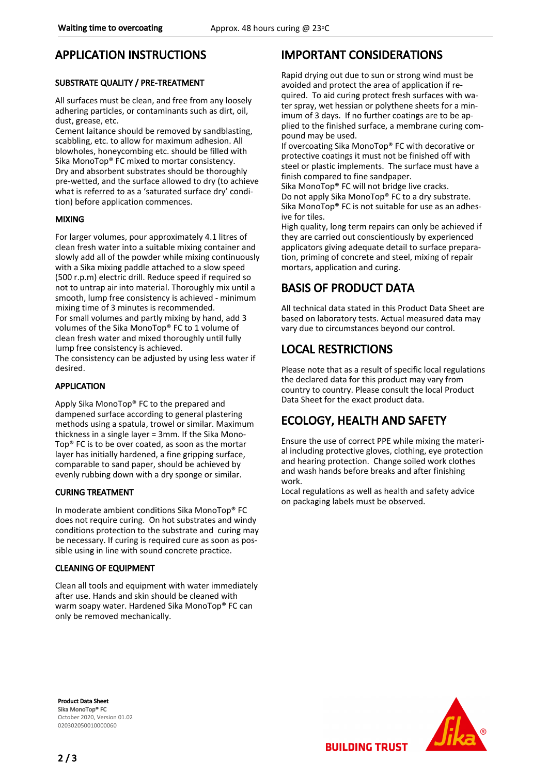## APPLICATION INSTRUCTIONS

#### SUBSTRATE QUALITY / PRE-TREATMENT

All surfaces must be clean, and free from any loosely adhering particles, or contaminants such as dirt, oil, dust, grease, etc.

Cement laitance should be removed by sandblasting, scabbling, etc. to allow for maximum adhesion. All blowholes, honeycombing etc. should be filled with Sika MonoTop® FC mixed to mortar consistency. Dry and absorbent substrates should be thoroughly pre-wetted, and the surface allowed to dry (to achieve what is referred to as a 'saturated surface dry' condition) before application commences.

#### MIXING

For larger volumes, pour approximately 4.1 litres of clean fresh water into a suitable mixing container and slowly add all of the powder while mixing continuously with a Sika mixing paddle attached to a slow speed (500 r.p.m) electric drill. Reduce speed if required so not to untrap air into material. Thoroughly mix until a smooth, lump free consistency is achieved - minimum mixing time of 3 minutes is recommended. For small volumes and partly mixing by hand, add 3 volumes of the Sika MonoTop® FC to 1 volume of clean fresh water and mixed thoroughly until fully lump free consistency is achieved.

The consistency can be adjusted by using less water if desired.

#### APPLICATION

Apply Sika MonoTop® FC to the prepared and dampened surface according to general plastering methods using a spatula, trowel or similar. Maximum thickness in a single layer = 3mm. If the Sika Mono-Top® FC is to be over coated, as soon as the mortar layer has initially hardened, a fine gripping surface, comparable to sand paper, should be achieved by evenly rubbing down with a dry sponge or similar.

#### CURING TREATMENT

In moderate ambient conditions Sika MonoTop® FC does not require curing. On hot substrates and windy conditions protection to the substrate and curing may be necessary. If curing is required cure as soon as possible using in line with sound concrete practice.

#### CLEANING OF EQUIPMENT

Clean all tools and equipment with water immediately after use. Hands and skin should be cleaned with warm soapy water. Hardened Sika MonoTop® FC can only be removed mechanically.

## IMPORTANT CONSIDERATIONS

Rapid drying out due to sun or strong wind must be avoided and protect the area of application if required. To aid curing protect fresh surfaces with water spray, wet hessian or polythene sheets for a minimum of 3 days. If no further coatings are to be applied to the finished surface, a membrane curing compound may be used.

If overcoating Sika MonoTop® FC with decorative or protective coatings it must not be finished off with steel or plastic implements. The surface must have a finish compared to fine sandpaper.

Sika MonoTop® FC will not bridge live cracks. Do not apply Sika MonoTop® FC to a dry substrate. Sika MonoTop® FC is not suitable for use as an adhesive for tiles.

High quality, long term repairs can only be achieved if they are carried out conscientiously by experienced applicators giving adequate detail to surface preparation, priming of concrete and steel, mixing of repair mortars, application and curing.

# BASIS OF PRODUCT DATA

All technical data stated in this Product Data Sheet are based on laboratory tests. Actual measured data may vary due to circumstances beyond our control.

# LOCAL RESTRICTIONS

Please note that as a result of specific local regulations the declared data for this product may vary from country to country. Please consult the local Product Data Sheet for the exact product data.

# ECOLOGY, HEALTH AND SAFETY

Ensure the use of correct PPE while mixing the material including protective gloves, clothing, eye protection and hearing protection. Change soiled work clothes and wash hands before breaks and after finishing work.

Local regulations as well as health and safety advice on packaging labels must be observed.

**BUILDING TRUST** 

Product Data Sheet Sika MonoTop® FC October 2020, Version 01.02 020302050010000060